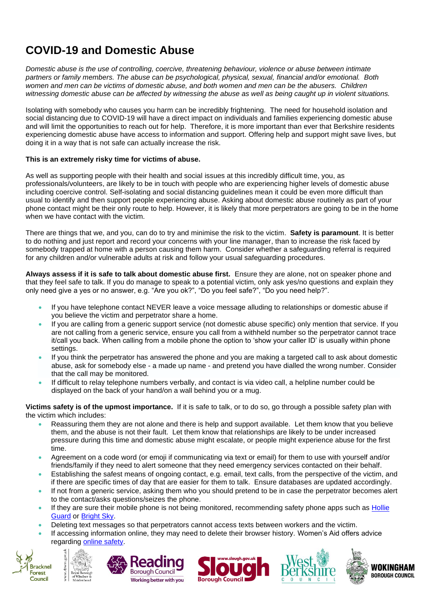## **COVID-19 and Domestic Abuse**

*Domestic abuse is the use of controlling, coercive, threatening behaviour, violence or abuse between intimate partners or family members. The abuse can be psychological, physical, sexual, financial and/or emotional. Both women and men can be victims of domestic abuse, and both women and men can be the abusers. Children witnessing domestic abuse can be affected by witnessing the abuse as well as being caught up in violent situations.* 

Isolating with somebody who causes you harm can be incredibly frightening. The need for household isolation and social distancing due to COVID-19 will have a direct impact on individuals and families experiencing domestic abuse and will limit the opportunities to reach out for help. Therefore, it is more important than ever that Berkshire residents experiencing domestic abuse have access to information and support. Offering help and support might save lives, but doing it in a way that is not safe can actually increase the risk.

## **This is an extremely risky time for victims of abuse.**

As well as supporting people with their health and social issues at this incredibly difficult time, you, as professionals/volunteers, are likely to be in touch with people who are experiencing higher levels of domestic abuse including coercive control. Self-isolating and social distancing guidelines mean it could be even more difficult than usual to identify and then support people experiencing abuse. Asking about domestic abuse routinely as part of your phone contact might be their only route to help. However, it is likely that more perpetrators are going to be in the home when we have contact with the victim.

There are things that we, and you, can do to try and minimise the risk to the victim. **Safety is paramount**. It is better to do nothing and just report and record your concerns with your line manager, than to increase the risk faced by somebody trapped at home with a person causing them harm. Consider whether a safeguarding referral is required for any children and/or vulnerable adults at risk and follow your usual safeguarding procedures.

**Always assess if it is safe to talk about domestic abuse first.** Ensure they are alone, not on speaker phone and that they feel safe to talk. If you do manage to speak to a potential victim, only ask yes/no questions and explain they only need give a yes or no answer, e.g. "Are you ok?", "Do you feel safe?", "Do you need help?".

- If you have telephone contact NEVER leave a voice message alluding to relationships or domestic abuse if you believe the victim and perpetrator share a home.
- If you are calling from a generic support service (not domestic abuse specific) only mention that service. If you are not calling from a generic service, ensure you call from a withheld number so the perpetrator cannot trace it/call you back. When calling from a mobile phone the option to 'show your caller ID' is usually within phone settings.
- If you think the perpetrator has answered the phone and you are making a targeted call to ask about domestic abuse, ask for somebody else - a made up name - and pretend you have dialled the wrong number. Consider that the call may be monitored.
- If difficult to relay telephone numbers verbally, and contact is via video call, a helpline number could be displayed on the back of your hand/on a wall behind you or a mug.

**Victims safety is of the upmost importance.** If it is safe to talk, or to do so, go through a possible safety plan with the victim which includes:

- Reassuring them they are not alone and there is help and support available. Let them know that you believe them, and the abuse is not their fault. Let them know that relationships are likely to be under increased pressure during this time and domestic abuse might escalate, or people might experience abuse for the first time.
- Agreement on a code word (or emoji if communicating via text or email) for them to use with yourself and/or friends/family if they need to alert someone that they need emergency services contacted on their behalf.
- Establishing the safest means of ongoing contact, e.g. email, text calls, from the perspective of the victim, and if there are specific times of day that are easier for them to talk. Ensure databases are updated accordingly.
- If not from a generic service, asking them who you should pretend to be in case the perpetrator becomes alert to the contact/asks questions/seizes the phone.
- If they are sure their mobile phone is not being monitored, recommending safety phone apps such as Hollie [Guard](https://hollieguard.com/) or [Bright Sky.](https://www.hestia.org/brightsky)
- Deleting text messages so that perpetrators cannot access texts between workers and the victim.
- If accessing information online, they may need to delete their browser history. Women's Aid offers advice regarding [online safety.](https://www.womensaid.org.uk/cover-your-tracks-online/)